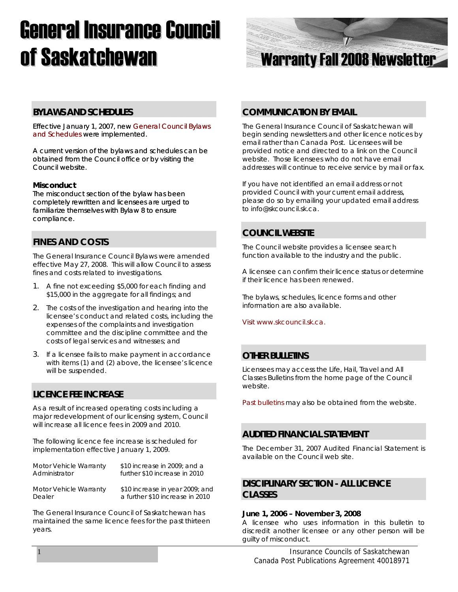# General Insurance Council



# **BYLAWS AND SCHEDULES**

Effective January 1, 2007, new [General Council Bylaws](http://www.skcouncil.sk.ca/warranty.htm)  [and Schedules](http://www.skcouncil.sk.ca/warranty.htm) were implemented.

A current version of the bylaws and schedules can be obtained from the Council office or by visiting the Council website.

## **Misconduct**

The misconduct section of the bylaw has been completely rewritten and licensees are urged to familiarize themselves with Bylaw 8 to ensure compliance.

# **FINES AND COSTS**

The General Insurance Council Bylaws were amended effective May 27, 2008. This will allow Council to assess fines and costs related to investigations.

- 1. A fine not exceeding \$5,000 for each finding and \$15,000 in the aggregate for all findings; and
- 2. The costs of the investigation and hearing into the licensee's conduct and related costs, including the expenses of the complaints and investigation committee and the discipline committee and the costs of legal services and witnesses; and
- 3. If a licensee fails to make payment in accordance with items (1) and (2) above, the licensee's licence will be suspended.

# **LICENCE FEE INCREASE**

As a result of increased operating costs including a major redevelopment of our licensing system, Council will increase all licence fees in 2009 and 2010.

The following licence fee increase is scheduled for implementation effective January 1, 2009.

| Motor Vehicle Warranty | \$10 increase in 2009; and a    |
|------------------------|---------------------------------|
| Administrator          | further \$10 increase in 2010   |
| Motor Vehicle Warranty | \$10 increase in year 2009; and |
| Dealer                 | a further \$10 increase in 2010 |

The General Insurance Council of Saskatchewan has maintained the same licence fees for the past thirteen years.

# **COMMUNICATION BY EMAIL**

The General Insurance Council of Saskatchewan will begin sending newsletters and other licence notices by email rather than Canada Post. Licensees will be provided notice and directed to a link on the Council website. Those licensees who do not have email addresses will continue to receive service by mail or fax.

If you have not identified an email address or not provided Council with your current email address, please do so by emailing your updated email address to info@skcouncil.sk.ca.

# **COUNCIL WEBSITE**

The Council website provides a licensee search function available to the industry and the public.

A licensee can confirm their licence status or determine if their licence has been renewed.

The bylaws, schedules, licence forms and other information are also available.

[Visit www.skcouncil.sk.ca.](http://www.skcouncil.sk.ca/) 

# **OTHER BULLETINS**

Licensees may access the Life, Hail, Travel and All Classes Bulletins from the home page of the Council website.

[Past bulletins](http://www.skcouncil.sk.ca/bulletin.htm) may also be obtained from the website.

## **AUDITED FINANCIAL STATEMENT**

The December 31, 2007 Audited Financial Statement is available on the Council web site.

## **DISCIPLINARY SECTION - ALL LICENCE CLASSES**

#### **June 1, 2006 – November 3, 2008**

A licensee who uses information in this bulletin to discredit another licensee or any other person will be guilty of misconduct.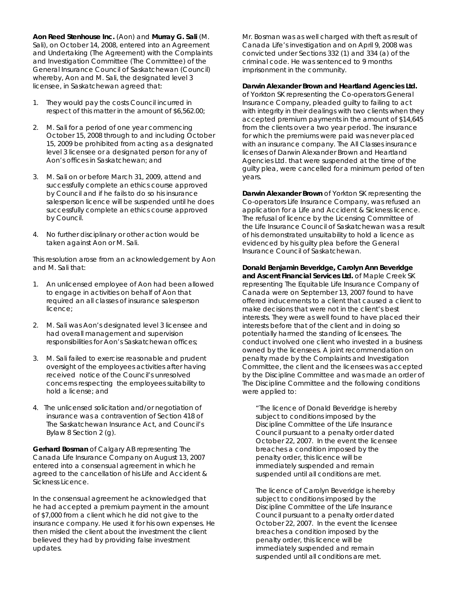**Aon Reed Stenhouse Inc.** (Aon) and **Murray G. Sali** (M. Sali), on October 14, 2008, entered into an Agreement and Undertaking (The Agreement) with the Complaints and Investigation Committee (The Committee) of the General Insurance Council of Saskatchewan (Council) whereby, Aon and M. Sali, the designated level 3 licensee, in Saskatchewan agreed that:

- 1. They would pay the costs Council incurred in respect of this matter in the amount of \$6,562.00;
- 2. M. Sali for a period of one year commencing October 15, 2008 through to and including October 15, 2009 be prohibited from acting as a designated level 3 licensee or a designated person for any of Aon's offices in Saskatchewan; and
- 3. M. Sali on or before March 31, 2009, attend and successfully complete an ethics course approved by Council and if he fails to do so his insurance salesperson licence will be suspended until he does successfully complete an ethics course approved by Council.
- 4. No further disciplinary or other action would be taken against Aon or M. Sali.

 This resolution arose from an acknowledgement by Aon and M. Sali that:

- 1. An unlicensed employee of Aon had been allowed to engage in activities on behalf of Aon that required an all classes of insurance salesperson licence;
- 2. M. Sali was Aon's designated level 3 licensee and had overall management and supervision responsibilities for Aon's Saskatchewan offices;
- 3. M. Sali failed to exercise reasonable and prudent oversight of the employees activities after having received notice of the Council's unresolved concerns respecting the employees suitability to hold a license; and
- 4. The unlicensed solicitation and/or negotiation of insurance was a contravention of Section 418 of *The Saskatchewan Insurance Act,* and Council's Bylaw 8 Section 2 (g).

**Gerhard Bosman** of Calgary AB representing The Canada Life Insurance Company on August 13, 2007 entered into a consensual agreement in which he agreed to the cancellation of his Life and Accident & Sickness Licence.

In the consensual agreement he acknowledged that he had accepted a premium payment in the amount of \$7,000 from a client which he did not give to the insurance company. He used it for his own expenses. He then misled the client about the investment the client believed they had by providing false investment updates.

Mr. Bosman was as well charged with theft as result of Canada Life's investigation and on April 9, 2008 was convicted under Sections 332 (1) and 334 (a) of the criminal code. He was sentenced to 9 months imprisonment in the community.

**Darwin Alexander Brown and Heartland Agencies Ltd.**  of Yorkton SK representing the Co-operators General Insurance Company, pleaded guilty to failing to act with integrity in their dealings with two clients when they accepted premium payments in the amount of \$14,645 from the clients over a two year period. The insurance for which the premiums were paid was never placed with an insurance company. The All Classes insurance licenses of Darwin Alexander Brown and Heartland Agencies Ltd. that were suspended at the time of the guilty plea, were cancelled for a minimum period of ten years.

**Darwin Alexander Brown** of Yorkton SK representing the Co-operators Life Insurance Company, was refused an application for a Life and Accident & Sickness licence. The refusal of licence by the Licensing Committee of the Life Insurance Council of Saskatchewan was a result of his demonstrated unsuitability to hold a licence as evidenced by his guilty plea before the General Insurance Council of Saskatchewan.

**Donald Benjamin Beveridge, Carolyn Ann Beveridge and Ascent Financial Services Ltd.** of Maple Creek SK representing The Equitable Life Insurance Company of Canada were on September 13, 2007 found to have offered inducements to a client that caused a client to make decisions that were not in the client's best interests. They were as well found to have placed their interests before that of the client and in doing so potentially harmed the standing of licensees. The conduct involved one client who invested in a business owned by the licensees. A joint recommendation on penalty made by the Complaints and Investigation Committee, the client and the licensees was accepted by the Discipline Committee and was made an order of The Discipline Committee and the following conditions were applied to:

"The licence of Donald Beveridge is hereby subject to conditions imposed by the Discipline Committee of the Life Insurance Council pursuant to a penalty order dated October 22, 2007. In the event the licensee breaches a condition imposed by the penalty order, this licence will be immediately suspended and remain suspended until all conditions are met.

The licence of Carolyn Beveridge is hereby subject to conditions imposed by the Discipline Committee of the Life Insurance Council pursuant to a penalty order dated October 22, 2007. In the event the licensee breaches a condition imposed by the penalty order, this licence will be immediately suspended and remain suspended until all conditions are met.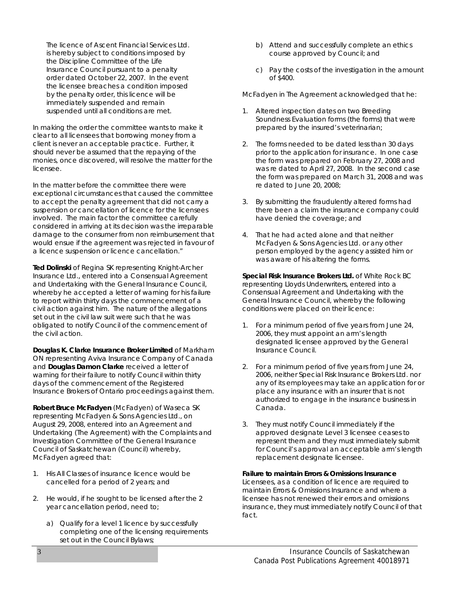The licence of Ascent Financial Services Ltd. is hereby subject to conditions imposed by the Discipline Committee of the Life Insurance Council pursuant to a penalty order dated October 22, 2007. In the event the licensee breaches a condition imposed by the penalty order, this licence will be immediately suspended and remain suspended until all conditions are met.

In making the order the committee wants to make it clear to all licensees that borrowing money from a client is never an acceptable practice. Further, it should never be assumed that the repaying of the monies, once discovered, will resolve the matter for the licensee.

In the matter before the committee there were exceptional circumstances that caused the committee to accept the penalty agreement that did not carry a suspension or cancellation of licence for the licensees involved. The main factor the committee carefully considered in arriving at its decision was the irreparable damage to the consumer from non reimbursement that would ensue if the agreement was rejected in favour of a licence suspension or licence cancellation."

**Ted Dolinski** of Regina SK representing Knight-Archer Insurance Ltd., entered into a Consensual Agreement and Undertaking with the General Insurance Council, whereby he accepted a letter of warning for his failure to report within thirty days the commencement of a civil action against him. The nature of the allegations set out in the civil law suit were such that he was obligated to notify Council of the commencement of the civil action.

**Douglas K. Clarke Insurance Broker Limited** of Markham ON representing Aviva Insurance Company of Canada and **Douglas Damon Clarke** received a letter of warning for their failure to notify Council within thirty days of the commencement of the Registered Insurance Brokers of Ontario proceedings against them.

**Robert Bruce McFadyen** (McFadyen) of Waseca SK representing McFadyen & Sons Agencies Ltd., on August 29, 2008, entered into an Agreement and Undertaking (The Agreement) with the Complaints and Investigation Committee of the General Insurance Council of Saskatchewan (Council) whereby, McFadyen agreed that:

- 1. His All Classes of insurance licence would be cancelled for a period of 2 years; and
- 2. He would, if he sought to be licensed after the 2 year cancellation period, need to;
	- a) Qualify for a level 1 licence by successfully completing one of the licensing requirements set out in the Council Bylaws;
- b) Attend and successfully complete an ethics course approved by Council; and
- c) Pay the costs of the investigation in the amount of \$400.

McFadyen in The Agreement acknowledged that he:

- 1. Altered inspection dates on two Breeding Soundness Evaluation forms (the forms) that were prepared by the insured's veterinarian;
- 2. The forms needed to be dated less than 30 days prior to the application for insurance. In one case the form was prepared on February 27, 2008 and was re dated to April 27, 2008. In the second case the form was prepared on March 31, 2008 and was re dated to June 20, 2008;
- 3. By submitting the fraudulently altered forms had there been a claim the insurance company could have denied the coverage; and
- 4. That he had acted alone and that neither McFadyen & Sons Agencies Ltd. or any other person employed by the agency assisted him or was aware of his altering the forms.

**Special Risk Insurance Brokers Ltd.** of White Rock BC representing Lloyds Underwriters, entered into a Consensual Agreement and Undertaking with the General Insurance Council, whereby the following conditions were placed on their licence:

- 1. For a minimum period of five years from June 24, 2006, they must appoint an arm's length designated licensee approved by the General Insurance Council.
- 2. For a minimum period of five years from June 24, 2006, neither Special Risk Insurance Brokers Ltd. nor any of its employees may take an application for or place any insurance with an insurer that is not authorized to engage in the insurance business in Canada.
- 3. They must notify Council immediately if the approved designate Level 3 licensee ceases to represent them and they must immediately submit for Council's approval an acceptable arm's length replacement designate licensee.

### **Failure to maintain Errors & Omissions Insurance**

Licensees, as a condition of licence are required to maintain Errors & Omissions Insurance and where a licensee has not renewed their errors and omissions insurance, they must immediately notify Council of that fact.